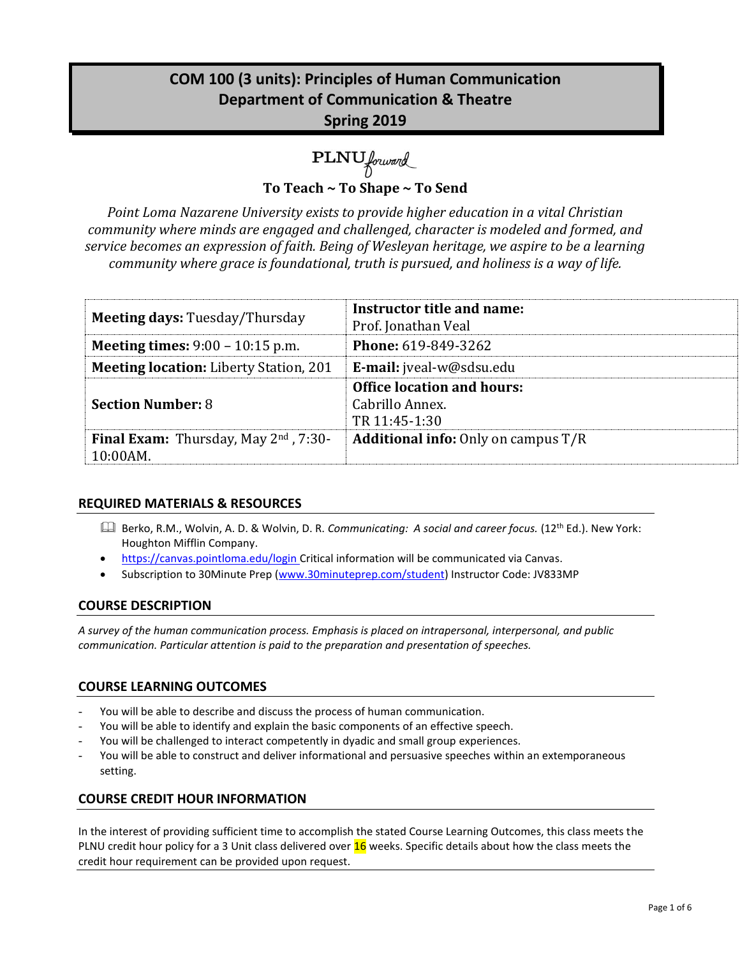# **COM 100 (3 units): Principles of Human Communication Department of Communication & Theatre Spring 2019**

PLNU forward

**To Teach ~ To Shape ~ To Send**

*Point Loma Nazarene University exists to provide higher education in a vital Christian community where minds are engaged and challenged, character is modeled and formed, and service becomes an expression of faith. Being of Wesleyan heritage, we aspire to be a learning community where grace is foundational, truth is pursued, and holiness is a way of life.*

| <b>Meeting days: Tuesday/Thursday</b>                         | Instructor title and name:<br>Prof. Jonathan Veal                     |
|---------------------------------------------------------------|-----------------------------------------------------------------------|
| <b>Meeting times:</b> $9:00 - 10:15$ p.m.                     | <b>Phone: 619-849-3262</b>                                            |
| <b>Meeting location:</b> Liberty Station, 201                 | <b>E-mail:</b> jveal-w@sdsu.edu                                       |
| <b>Section Number: 8</b>                                      | <b>Office location and hours:</b><br>Cabrillo Annex.<br>TR 11:45-1:30 |
| <b>Final Exam:</b> Thursday, May $2^{nd}$ , 7:30-<br>10:00AM. | <b>Additional info:</b> Only on campus T/R                            |

## **REQUIRED MATERIALS & RESOURCES**

- Berko, R.M., Wolvin, A. D. & Wolvin, D. R. *Communicating: A social and career focus.* (12th Ed.). New York: Houghton Mifflin Company.
- https://canvas.pointloma.edu/login Critical information will be communicated via Canvas.
- Subscription to 30Minute Prep [\(www.30minuteprep.com/student\)](http://www.30minuteprep.com/student) Instructor Code: JV833MP

#### **COURSE DESCRIPTION**

*A survey of the human communication process. Emphasis is placed on intrapersonal, interpersonal, and public communication. Particular attention is paid to the preparation and presentation of speeches.*

## **COURSE LEARNING OUTCOMES**

- You will be able to describe and discuss the process of human communication.
- You will be able to identify and explain the basic components of an effective speech.
- You will be challenged to interact competently in dyadic and small group experiences.
- You will be able to construct and deliver informational and persuasive speeches within an extemporaneous setting.

#### **COURSE CREDIT HOUR INFORMATION**

In the interest of providing sufficient time to accomplish the stated Course Learning Outcomes, this class meets the PLNU credit hour policy for a 3 Unit class delivered over 16 weeks. Specific details about how the class meets the credit hour requirement can be provided upon request.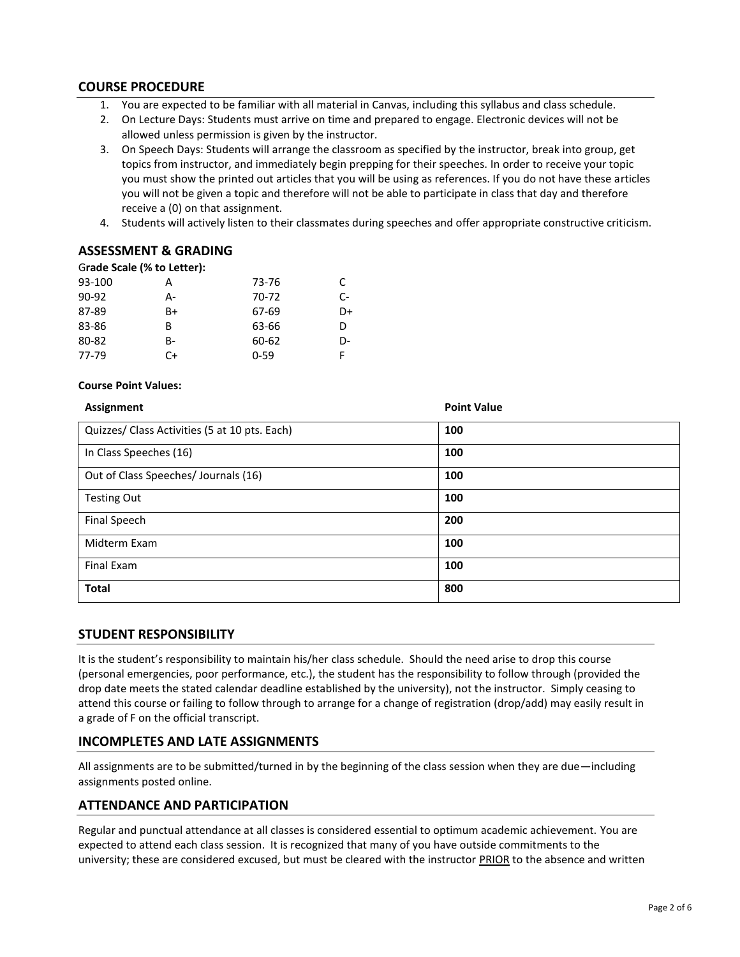### **COURSE PROCEDURE**

- 1. You are expected to be familiar with all material in Canvas, including this syllabus and class schedule.
- 2. On Lecture Days: Students must arrive on time and prepared to engage. Electronic devices will not be allowed unless permission is given by the instructor.
- 3. On Speech Days: Students will arrange the classroom as specified by the instructor, break into group, get topics from instructor, and immediately begin prepping for their speeches. In order to receive your topic you must show the printed out articles that you will be using as references. If you do not have these articles you will not be given a topic and therefore will not be able to participate in class that day and therefore receive a (0) on that assignment.
- 4. Students will actively listen to their classmates during speeches and offer appropriate constructive criticism.

#### **ASSESSMENT & GRADING**

#### G**rade Scale (% to Letter):**

| 93-100  | А  | 73-76    | C. |
|---------|----|----------|----|
| $90-92$ | А- | 70-72    | C- |
| 87-89   | B+ | 67-69    | D+ |
| 83-86   | В  | 63-66    | D  |
| 80-82   | B- | 60-62    | D- |
| 77-79   | C+ | $0 - 59$ |    |

#### **Course Point Values:**

| Assignment                                    | <b>Point Value</b> |
|-----------------------------------------------|--------------------|
| Quizzes/ Class Activities (5 at 10 pts. Each) | 100                |
| In Class Speeches (16)                        | 100                |
| Out of Class Speeches/ Journals (16)          | 100                |
| <b>Testing Out</b>                            | 100                |
| Final Speech                                  | 200                |
| Midterm Exam                                  | 100                |
| Final Exam                                    | 100                |
| <b>Total</b>                                  | 800                |

#### **STUDENT RESPONSIBILITY**

It is the student's responsibility to maintain his/her class schedule. Should the need arise to drop this course (personal emergencies, poor performance, etc.), the student has the responsibility to follow through (provided the drop date meets the stated calendar deadline established by the university), not the instructor. Simply ceasing to attend this course or failing to follow through to arrange for a change of registration (drop/add) may easily result in a grade of F on the official transcript.

#### **INCOMPLETES AND LATE ASSIGNMENTS**

All assignments are to be submitted/turned in by the beginning of the class session when they are due—including assignments posted online.

#### **ATTENDANCE AND PARTICIPATION**

Regular and punctual attendance at all classes is considered essential to optimum academic achievement. You are expected to attend each class session. It is recognized that many of you have outside commitments to the university; these are considered excused, but must be cleared with the instructor PRIOR to the absence and written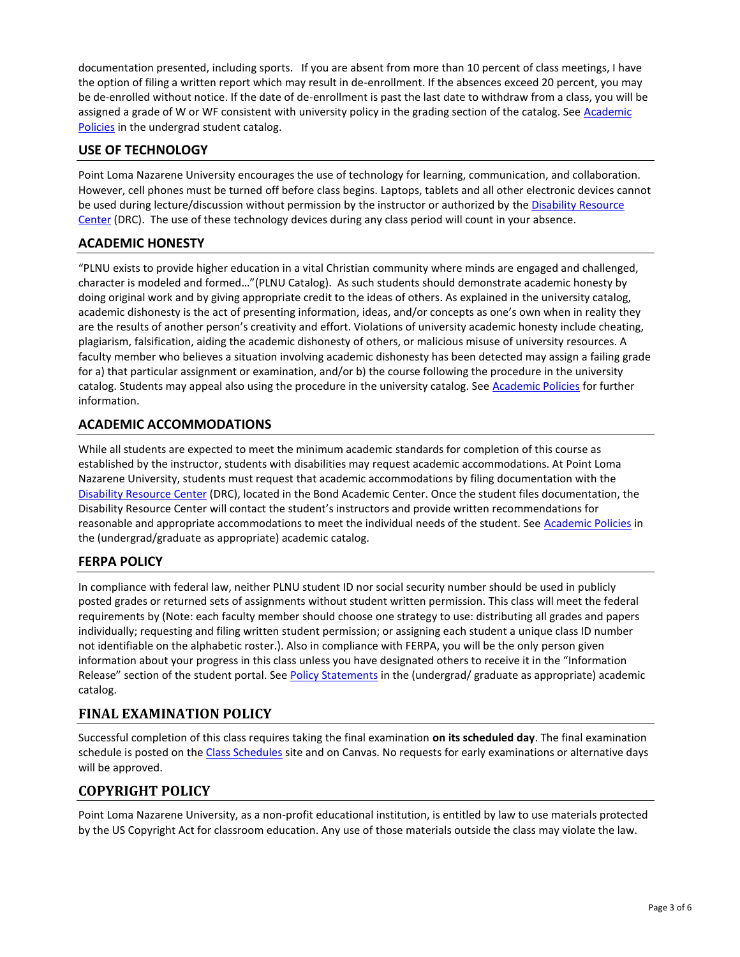documentation presented, including sports. If you are absent from more than 10 percent of class meetings, I have the option of filing a written report which may result in de-enrollment. If the absences exceed 20 percent, you may be de-enrolled without notice. If the date of de-enrollment is past the last date to withdraw from a class, you will be assigned a grade of W or WF consistent with university policy in the grading section of the catalog. See Academic [Policies](http://www.pointloma.edu/experience/academics/catalogs/undergraduate-catalog/point-loma-education/academic-policies) in the undergrad student catalog.

## **USE OF TECHNOLOGY**

Point Loma Nazarene University encourages the use of technology for learning, communication, and collaboration. However, cell phones must be turned off before class begins. Laptops, tablets and all other electronic devices cannot be used during lecture/discussion without permission by the instructor or authorized by the Disability Resource [Center](http://www.pointloma.edu/experience/offices/administrative-offices/academic-advising-office/disability-resource-center) (DRC). The use of these technology devices during any class period will count in your absence.

## **ACADEMIC HONESTY**

"PLNU exists to provide higher education in a vital Christian community where minds are engaged and challenged, character is modeled and formed…"(PLNU Catalog). As such students should demonstrate academic honesty by doing original work and by giving appropriate credit to the ideas of others. As explained in the university catalog, academic dishonesty is the act of presenting information, ideas, and/or concepts as one's own when in reality they are the results of another person's creativity and effort. Violations of university academic honesty include cheating, plagiarism, falsification, aiding the academic dishonesty of others, or malicious misuse of university resources. A faculty member who believes a situation involving academic dishonesty has been detected may assign a failing grade for a) that particular assignment or examination, and/or b) the course following the procedure in the university catalog. Students may appeal also using the procedure in the university catalog. Se[e Academic Policies](http://www.pointloma.edu/experience/academics/catalogs/undergraduate-catalog/point-loma-education/academic-policies) for further information.

## **ACADEMIC ACCOMMODATIONS**

While all students are expected to meet the minimum academic standards for completion of this course as established by the instructor, students with disabilities may request academic accommodations. At Point Loma Nazarene University, students must request that academic accommodations by filing documentation with the [Disability Resource Center](http://www.pointloma.edu/experience/offices/administrative-offices/academic-advising-office/disability-resource-center) (DRC), located in the Bond Academic Center. Once the student files documentation, the Disability Resource Center will contact the student's instructors and provide written recommendations for reasonable and appropriate accommodations to meet the individual needs of the student. See [Academic Policies](http://www.pointloma.edu/experience/academics/catalogs/undergraduate-catalog/point-loma-education/academic-policies) in the (undergrad/graduate as appropriate) academic catalog.

## **FERPA POLICY**

In compliance with federal law, neither PLNU student ID nor social security number should be used in publicly posted grades or returned sets of assignments without student written permission. This class will meet the federal requirements by (Note: each faculty member should choose one strategy to use: distributing all grades and papers individually; requesting and filing written student permission; or assigning each student a unique class ID number not identifiable on the alphabetic roster.). Also in compliance with FERPA, you will be the only person given information about your progress in this class unless you have designated others to receive it in the "Information Release" section of the student portal. See [Policy Statements](http://www.pointloma.edu/experience/academics/catalogs/undergraduate-catalog/policy-statements) in the (undergrad/ graduate as appropriate) academic catalog.

## **FINAL EXAMINATION POLICY**

Successful completion of this class requires taking the final examination **on its scheduled day**. The final examination schedule is posted on th[e Class Schedules](http://www.pointloma.edu/experience/academics/class-schedules) site and on Canvas. No requests for early examinations or alternative days will be approved.

## **COPYRIGHT POLICY**

Point Loma Nazarene University, as a non-profit educational institution, is entitled by law to use materials protected by the US Copyright Act for classroom education. Any use of those materials outside the class may violate the law.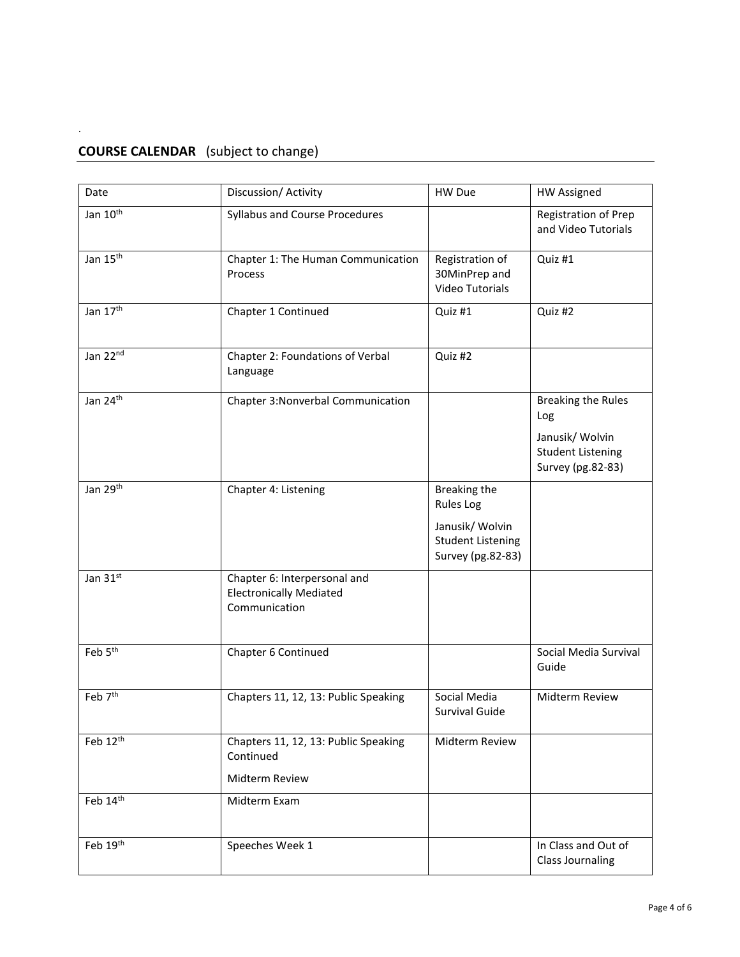## **COURSE CALENDAR** (subject to change)

.

| Date                 | Discussion/ Activity                                                            | HW Due                                                                                        | <b>HW Assigned</b>                                                                                   |
|----------------------|---------------------------------------------------------------------------------|-----------------------------------------------------------------------------------------------|------------------------------------------------------------------------------------------------------|
| Jan 10 <sup>th</sup> | Syllabus and Course Procedures                                                  |                                                                                               | Registration of Prep<br>and Video Tutorials                                                          |
| Jan 15 <sup>th</sup> | Chapter 1: The Human Communication<br>Process                                   | Registration of<br>30MinPrep and<br>Video Tutorials                                           | Quiz #1                                                                                              |
| Jan 17 <sup>th</sup> | Chapter 1 Continued                                                             | Quiz #1                                                                                       | Quiz #2                                                                                              |
| Jan 22nd             | Chapter 2: Foundations of Verbal<br>Language                                    | Quiz #2                                                                                       |                                                                                                      |
| Jan 24th             | Chapter 3: Nonverbal Communication                                              |                                                                                               | <b>Breaking the Rules</b><br>Log<br>Janusik/ Wolvin<br><b>Student Listening</b><br>Survey (pg.82-83) |
| Jan 29th             | Chapter 4: Listening                                                            | Breaking the<br>Rules Log<br>Janusik/ Wolvin<br><b>Student Listening</b><br>Survey (pg.82-83) |                                                                                                      |
| Jan 31st             | Chapter 6: Interpersonal and<br><b>Electronically Mediated</b><br>Communication |                                                                                               |                                                                                                      |
| Feb 5 <sup>th</sup>  | Chapter 6 Continued                                                             |                                                                                               | Social Media Survival<br>Guide                                                                       |
| Feb 7 <sup>th</sup>  | Chapters 11, 12, 13: Public Speaking                                            | Social Media<br>Survival Guide                                                                | Midterm Review                                                                                       |
| Feb 12th             | Chapters 11, 12, 13: Public Speaking<br>Continued<br>Midterm Review             | Midterm Review                                                                                |                                                                                                      |
| Feb 14th             | Midterm Exam                                                                    |                                                                                               |                                                                                                      |
| Feb 19th             | Speeches Week 1                                                                 |                                                                                               | In Class and Out of<br><b>Class Journaling</b>                                                       |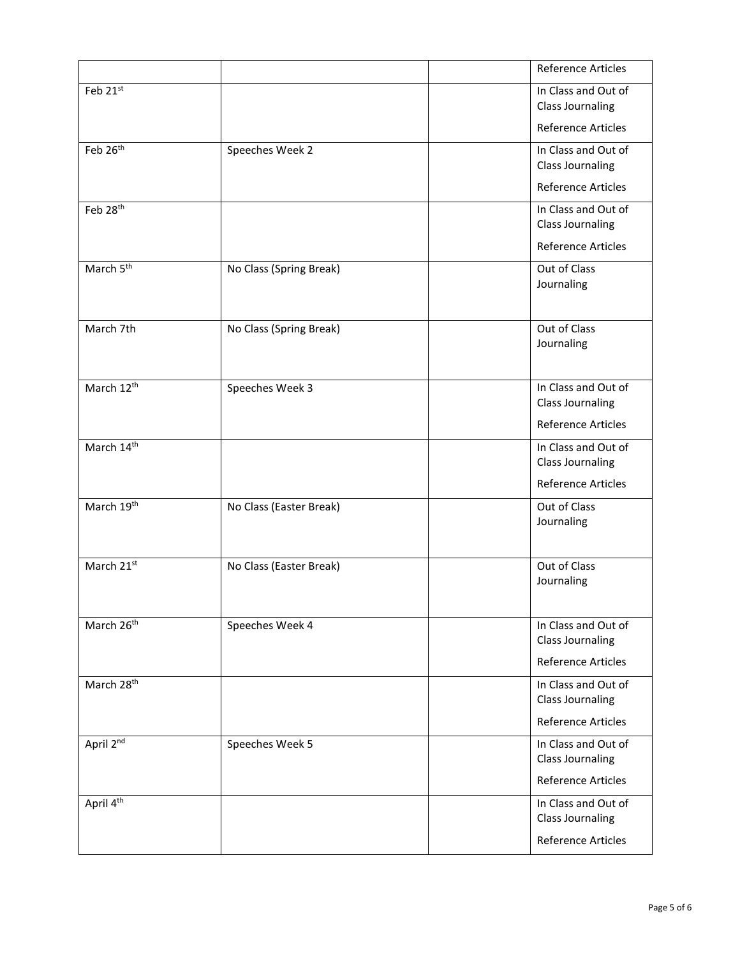|                        |                         | <b>Reference Articles</b>                      |
|------------------------|-------------------------|------------------------------------------------|
| Feb 21st               |                         | In Class and Out of<br><b>Class Journaling</b> |
|                        |                         | <b>Reference Articles</b>                      |
| Feb 26th               | Speeches Week 2         | In Class and Out of<br><b>Class Journaling</b> |
|                        |                         | <b>Reference Articles</b>                      |
| Feb 28 <sup>th</sup>   |                         | In Class and Out of<br><b>Class Journaling</b> |
|                        |                         | <b>Reference Articles</b>                      |
| March 5 <sup>th</sup>  | No Class (Spring Break) | Out of Class<br>Journaling                     |
| March 7th              | No Class (Spring Break) | Out of Class<br>Journaling                     |
| March 12 <sup>th</sup> | Speeches Week 3         | In Class and Out of<br><b>Class Journaling</b> |
|                        |                         | <b>Reference Articles</b>                      |
| March 14th             |                         | In Class and Out of<br><b>Class Journaling</b> |
|                        |                         | <b>Reference Articles</b>                      |
| March 19 <sup>th</sup> | No Class (Easter Break) | Out of Class<br>Journaling                     |
| March 21st             | No Class (Easter Break) | Out of Class<br>Journaling                     |
| March 26 <sup>th</sup> | Speeches Week 4         | In Class and Out of<br><b>Class Journaling</b> |
|                        |                         | <b>Reference Articles</b>                      |
| March 28 <sup>th</sup> |                         | In Class and Out of<br><b>Class Journaling</b> |
|                        |                         | <b>Reference Articles</b>                      |
| April 2nd              | Speeches Week 5         | In Class and Out of<br><b>Class Journaling</b> |
|                        |                         | <b>Reference Articles</b>                      |
| April 4 <sup>th</sup>  |                         | In Class and Out of<br><b>Class Journaling</b> |
|                        |                         | <b>Reference Articles</b>                      |